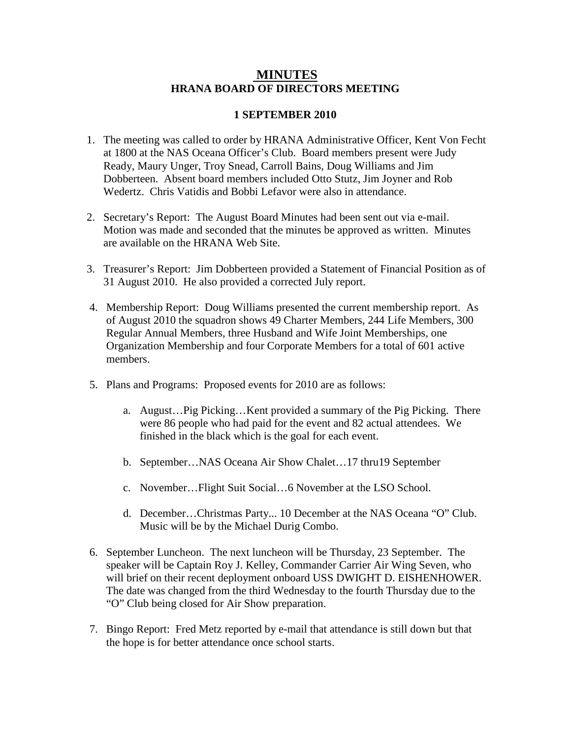## **MINUTES HRANA BOARD OF DIRECTORS MEETING**

## **1 SEPTEMBER 2010**

- 1. The meeting was called to order by HRANA Administrative Officer, Kent Von Fecht at 1800 at the NAS Oceana Officer's Club. Board members present were Judy Ready, Maury Unger, Troy Snead, Carroll Bains, Doug Williams and Jim Dobberteen. Absent board members included Otto Stutz, Jim Joyner and Rob Wedertz. Chris Vatidis and Bobbi Lefavor were also in attendance.
- 2. Secretary's Report: The August Board Minutes had been sent out via e-mail. Motion was made and seconded that the minutes be approved as written. Minutes are available on the HRANA Web Site.
- 3. Treasurer's Report: Jim Dobberteen provided a Statement of Financial Position as of 31 August 2010. He also provided a corrected July report.
- 4. Membership Report: Doug Williams presented the current membership report. As of August 2010 the squadron shows 49 Charter Members, 244 Life Members, 300 Regular Annual Members, three Husband and Wife Joint Memberships, one Organization Membership and four Corporate Members for a total of 601 active members.
- 5. Plans and Programs: Proposed events for 2010 are as follows:
	- a. August…Pig Picking…Kent provided a summary of the Pig Picking. There were 86 people who had paid for the event and 82 actual attendees. We finished in the black which is the goal for each event.
	- b. September…NAS Oceana Air Show Chalet…17 thru19 September
	- c. November…Flight Suit Social…6 November at the LSO School.
	- d. December…Christmas Party... 10 December at the NAS Oceana "O" Club. Music will be by the Michael Durig Combo.
- 6. September Luncheon. The next luncheon will be Thursday, 23 September. The speaker will be Captain Roy J. Kelley, Commander Carrier Air Wing Seven, who will brief on their recent deployment onboard USS DWIGHT D. EISHENHOWER. The date was changed from the third Wednesday to the fourth Thursday due to the "O" Club being closed for Air Show preparation.
- 7. Bingo Report: Fred Metz reported by e-mail that attendance is still down but that the hope is for better attendance once school starts.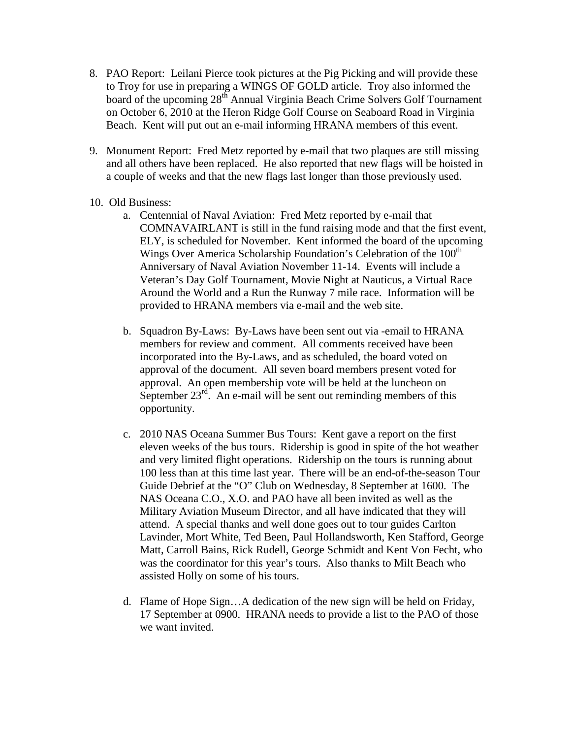- 8. PAO Report: Leilani Pierce took pictures at the Pig Picking and will provide these to Troy for use in preparing a WINGS OF GOLD article. Troy also informed the board of the upcoming 28<sup>th</sup> Annual Virginia Beach Crime Solvers Golf Tournament on October 6, 2010 at the Heron Ridge Golf Course on Seaboard Road in Virginia Beach. Kent will put out an e-mail informing HRANA members of this event.
- 9. Monument Report: Fred Metz reported by e-mail that two plaques are still missing and all others have been replaced. He also reported that new flags will be hoisted in a couple of weeks and that the new flags last longer than those previously used.
- 10. Old Business:
	- a. Centennial of Naval Aviation: Fred Metz reported by e-mail that COMNAVAIRLANT is still in the fund raising mode and that the first event, ELY, is scheduled for November. Kent informed the board of the upcoming Wings Over America Scholarship Foundation's Celebration of the 100<sup>th</sup> Anniversary of Naval Aviation November 11-14. Events will include a Veteran's Day Golf Tournament, Movie Night at Nauticus, a Virtual Race Around the World and a Run the Runway 7 mile race. Information will be provided to HRANA members via e-mail and the web site.
	- b. Squadron By-Laws: By-Laws have been sent out via -email to HRANA members for review and comment. All comments received have been incorporated into the By-Laws, and as scheduled, the board voted on approval of the document. All seven board members present voted for approval. An open membership vote will be held at the luncheon on September  $23^{rd}$ . An e-mail will be sent out reminding members of this opportunity.
	- c. 2010 NAS Oceana Summer Bus Tours: Kent gave a report on the first eleven weeks of the bus tours. Ridership is good in spite of the hot weather and very limited flight operations. Ridership on the tours is running about 100 less than at this time last year. There will be an end-of-the-season Tour Guide Debrief at the "O" Club on Wednesday, 8 September at 1600. The NAS Oceana C.O., X.O. and PAO have all been invited as well as the Military Aviation Museum Director, and all have indicated that they will attend. A special thanks and well done goes out to tour guides Carlton Lavinder, Mort White, Ted Been, Paul Hollandsworth, Ken Stafford, George Matt, Carroll Bains, Rick Rudell, George Schmidt and Kent Von Fecht, who was the coordinator for this year's tours. Also thanks to Milt Beach who assisted Holly on some of his tours.
	- d. Flame of Hope Sign…A dedication of the new sign will be held on Friday, 17 September at 0900. HRANA needs to provide a list to the PAO of those we want invited.